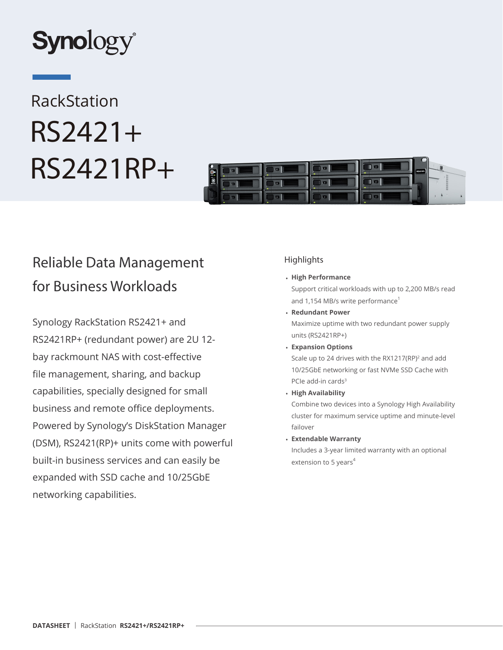

# RackStation RS2421+ RS2421RP+



# Reliable Data Management for Business Workloads

Synology RackStation RS2421+ and RS2421RP+ (redundant power) are 2U 12 bay rackmount NAS with cost-effective file management, sharing, and backup capabilities, specially designed for small business and remote office deployments. Powered by Synology's DiskStation Manager (DSM), RS2421(RP)+ units come with powerful built-in business services and can easily be expanded with SSD cache and 10/25GbE networking capabilities.

# **Highlights**

• **High Performance**

Support critical workloads with up to 2,200 MB/s read and 1,154 MB/s write performance<sup>1</sup>

- **Redundant Power** Maximize uptime with two redundant power supply units (RS2421RP+)
- **Expansion Options** Scale up to 24 drives with the RX1217(RP)<sup>2</sup> and add 10/25GbE networking or fast NVMe SSD Cache with PCIe add-in cards<sup>3</sup>
- **High Availability**

Combine two devices into a Synology High Availability cluster for maximum service uptime and minute-level failover

• **Extendable Warranty**

Includes a 3-year limited warranty with an optional extension to 5 years $4$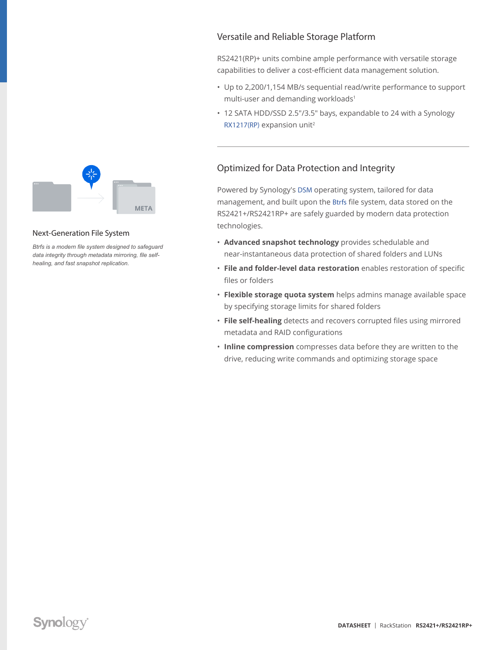

#### Next-Generation File System

*Btrfs is a modern file system designed to safeguard data integrity through metadata mirroring, file selfhealing, and fast snapshot replication.*

# Versatile and Reliable Storage Platform

RS2421(RP)+ units combine ample performance with versatile storage capabilities to deliver a cost-efficient data management solution.

- Up to 2,200/1,154 MB/s sequential read/write performance to support multi-user and demanding workloads<sup>1</sup>
- 12 SATA HDD/SSD 2.5"/3.5" bays, expandable to 24 with a Synology [RX1217\(RP\)](https://sy.to/rs2421dsexpunit) expansion unit<sup>2</sup>

# Optimized for Data Protection and Integrity

Powered by Synology's [DSM](https://sy.to/rs2421dsdsm) operating system, tailored for data management, and built upon the [Btrfs](https://sy.to/rs2421dsbtrfs) file system, data stored on the RS2421+/RS2421RP+ are safely guarded by modern data protection technologies.

- **Advanced snapshot technology** provides schedulable and near-instantaneous data protection of shared folders and LUNs
- **File and folder-level data restoration** enables restoration of specific files or folders
- **Flexible storage quota system** helps admins manage available space by specifying storage limits for shared folders
- **File self-healing** detects and recovers corrupted files using mirrored metadata and RAID configurations
- **Inline compression** compresses data before they are written to the drive, reducing write commands and optimizing storage space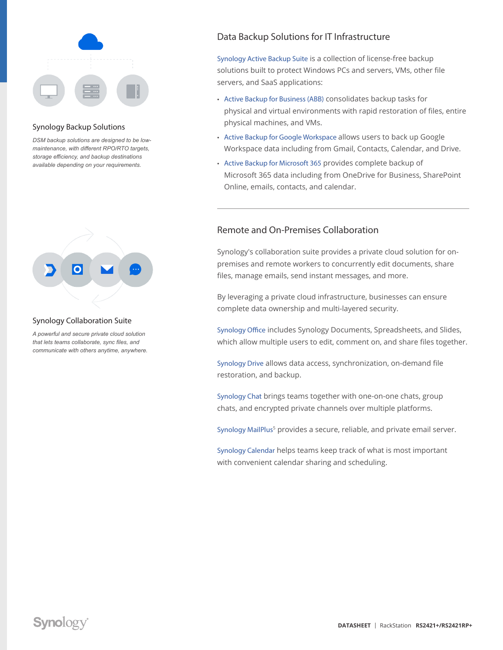

#### Synology Backup Solutions

*DSM backup solutions are designed to be lowmaintenance, with different RPO/RTO targets, storage efficiency, and backup destinations available depending on your requirements.*



#### Synology Collaboration Suite

*A powerful and secure private cloud solution that lets teams collaborate, sync files, and communicate with others anytime, anywhere.*

# Data Backup Solutions for IT Infrastructure

[Synology Active Backup Suite](https://sy.to/rs2421dsabs) is a collection of license-free backup solutions built to protect Windows PCs and servers, VMs, other file servers, and SaaS applications:

- [Active Backup for Business \(ABB\)](https://sy.to/rs2421dsabb) consolidates backup tasks for physical and virtual environments with rapid restoration of files, entire physical machines, and VMs.
- [Active Backup for Google Workspace](https://sy.to/rs2421dsabg) allows users to back up Google Workspace data including from Gmail, Contacts, Calendar, and Drive.
- [Active Backup for Microsoft 365](https://sy.to/rs2421dsabm) provides complete backup of Microsoft 365 data including from OneDrive for Business, SharePoint Online, emails, contacts, and calendar.

### Remote and On-Premises Collaboration

Synology's collaboration suite provides a private cloud solution for onpremises and remote workers to concurrently edit documents, share files, manage emails, send instant messages, and more.

By leveraging a private cloud infrastructure, businesses can ensure complete data ownership and multi-layered security.

[Synology Office](https://sy.to/rs2421dsoff) includes Synology Documents, Spreadsheets, and Slides, which allow multiple users to edit, comment on, and share files together.

[Synology Drive](https://sy.to/rs2421dsdri) allows data access, synchronization, on-demand file restoration, and backup.

[Synology Chat](https://sy.to/rs2421dscha) brings teams together with one-on-one chats, group chats, and encrypted private channels over multiple platforms.

[Synology MailPlus](https://sy.to/rs2421dsmplus)<sup>5</sup> provides a secure, reliable, and private email server.

[Synology Calendar](https://sy.to/rs2421dscal) helps teams keep track of what is most important with convenient calendar sharing and scheduling.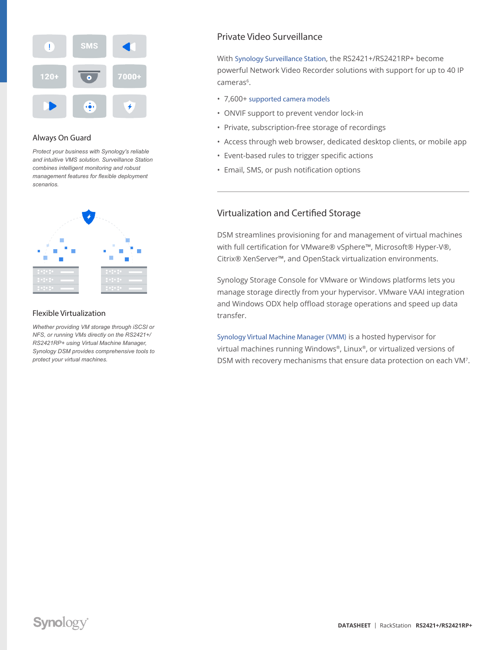

#### Always On Guard

*Protect your business with Synology's reliable and intuitive VMS solution. Surveillance Station combines intelligent monitoring and robust management features for flexible deployment scenarios.*



#### Flexible Virtualization

*Whether providing VM storage through iSCSI or NFS, or running VMs directly on the RS2421+/ RS2421RP+ using Virtual Machine Manager, Synology DSM provides comprehensive tools to protect your virtual machines.*

# Private Video Surveillance

With [Synology Surveillance Station](https://sy.to/rs2421dssurvs), the RS2421+/RS2421RP+ become powerful Network Video Recorder solutions with support for up to 40 IP cameras<sup>6</sup>.

- 7,600+ [supported camera models](https://sy.to/rs2421dsipcamsup)
- ONVIF support to prevent vendor lock-in
- Private, subscription-free storage of recordings
- Access through web browser, dedicated desktop clients, or mobile app
- Event-based rules to trigger specific actions
- Email, SMS, or push notification options

### Virtualization and Certified Storage

DSM streamlines provisioning for and management of virtual machines with full certification for VMware® vSphere™, Microsoft® Hyper-V®, Citrix® XenServer™, and OpenStack virtualization environments.

Synology Storage Console for VMware or Windows platforms lets you manage storage directly from your hypervisor. VMware VAAI integration and Windows ODX help offload storage operations and speed up data transfer.

[Synology Virtual Machine Manager \(VMM\)](https://sy.to/rs2421dsvmm) is a hosted hypervisor for virtual machines running Windows®, Linux®, or virtualized versions of DSM with recovery mechanisms that ensure data protection on each VM7.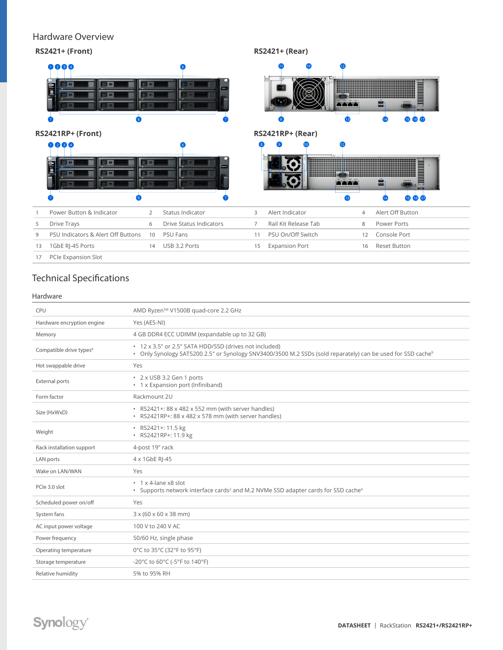# Hardware Overview



# Technical Specifications

#### Hardware

| CPU                                 | AMD Ryzen™ V1500B quad-core 2.2 GHz                                                                                                                                               |
|-------------------------------------|-----------------------------------------------------------------------------------------------------------------------------------------------------------------------------------|
| Hardware encryption engine          | Yes (AES-NI)                                                                                                                                                                      |
| Memory                              | 4 GB DDR4 ECC UDIMM (expandable up to 32 GB)                                                                                                                                      |
| Compatible drive types <sup>8</sup> | • 12 x 3.5" or 2.5" SATA HDD/SSD (drives not included)<br>. Only Synology SAT5200 2.5" or Synology SNV3400/3500 M.2 SSDs (sold reparately) can be used for SSD cache <sup>9</sup> |
| Hot swappable drive                 | Yes                                                                                                                                                                               |
| <b>External ports</b>               | • 2 x USB 3.2 Gen 1 ports<br>• 1 x Expansion port (Infiniband)                                                                                                                    |
| Form factor                         | Rackmount 2U                                                                                                                                                                      |
| Size (HxWxD)                        | · RS2421+: 88 x 482 x 552 mm (with server handles)<br>· RS2421RP+: 88 x 482 x 578 mm (with server handles)                                                                        |
| Weight                              | · RS2421+: 11.5 kg<br>· RS2421RP+: 11.9 kg                                                                                                                                        |
| Rack installation support           | 4-post 19" rack                                                                                                                                                                   |
| LAN ports                           | 4 x 1GbE RI-45                                                                                                                                                                    |
| Wake on LAN/WAN                     | Yes                                                                                                                                                                               |
| PCIe 3.0 slot                       | $\cdot$ 1 x 4-lane x8 slot<br>• Supports network interface cards <sup>2</sup> and M.2 NVMe SSD adapter cards for SSD cache <sup>9</sup>                                           |
| Scheduled power on/off              | Yes                                                                                                                                                                               |
| System fans                         | $3 \times (60 \times 60 \times 38 \text{ mm})$                                                                                                                                    |
| AC input power voltage              | 100 V to 240 V AC                                                                                                                                                                 |
| Power frequency                     | 50/60 Hz, single phase                                                                                                                                                            |
| Operating temperature               | 0°C to 35°C (32°F to 95°F)                                                                                                                                                        |
| Storage temperature                 | -20°C to 60°C (-5°F to 140°F)                                                                                                                                                     |
| Relative humidity                   | 5% to 95% RH                                                                                                                                                                      |
|                                     |                                                                                                                                                                                   |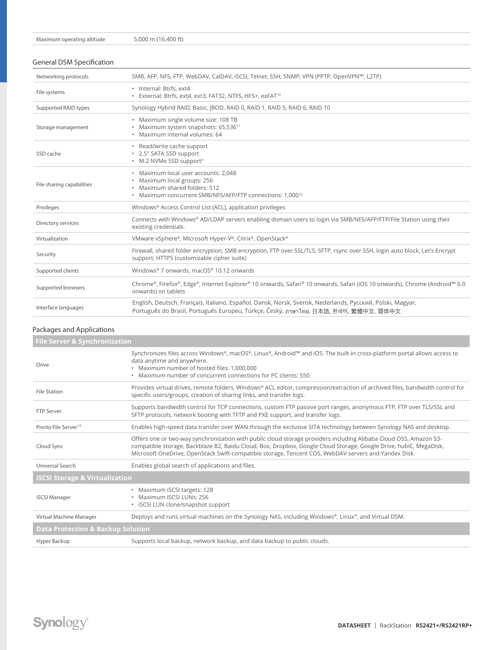#### General DSM Specification

| Networking protocols      | SMB, AFP, NFS, FTP, WebDAV, CalDAV, iSCSI, Telnet, SSH, SNMP, VPN (PPTP, OpenVPN™, L2TP)                                                                                                          |
|---------------------------|---------------------------------------------------------------------------------------------------------------------------------------------------------------------------------------------------|
| File systems              | · Internal: Btrfs, ext4<br>· External: Btrfs, ext4, ext3, FAT32, NTFS, HFS+, exFAT <sup>10</sup>                                                                                                  |
| Supported RAID types      | Synology Hybrid RAID, Basic, (BOD, RAID 0, RAID 1, RAID 5, RAID 6, RAID 10                                                                                                                        |
| Storage management        | · Maximum single volume size: 108 TB<br>• Maximum system snapshots: 65,536 <sup>11</sup><br>· Maximum internal volumes: 64                                                                        |
| SSD cache                 | • Read/write cache support<br>* 2.5" SATA SSD support<br>• M.2 NVMe SSD support <sup>9</sup>                                                                                                      |
| File sharing capabilities | · Maximum local user accounts: 2,048<br>· Maximum local groups: 256<br>· Maximum shared folders: 512<br>• Maximum concurrent SMB/NFS/AFP/FTP connections: 1,000 <sup>12</sup>                     |
| Privileges                | Windows® Access Control List (ACL), application privileges                                                                                                                                        |
| Directory services        | Connects with Windows® AD/LDAP servers enabling domain users to login via SMB/NFS/AFP/FTP/File Station using their<br>existing credentials.                                                       |
| Virtualization            | VMware vSphere®, Microsoft Hyper-V®, Citrix®, OpenStack®                                                                                                                                          |
| Security                  | Firewall, shared folder encryption, SMB encryption, FTP over SSL/TLS, SFTP, rsync over SSH, login auto block, Let's Encrypt<br>support, HTTPS (customizable cipher suite)                         |
| Supported clients         | Windows® 7 onwards, macOS® 10.12 onwards                                                                                                                                                          |
| Supported browsers        | Chrome®, Firefox®, Edge®, Internet Explorer® 10 onwards, Safari® 10 onwards, Safari (iOS 10 onwards), Chrome (Android™ 6.0<br>onwards) on tablets                                                 |
| Interface languages       | English, Deutsch, Français, Italiano, Español, Dansk, Norsk, Svensk, Nederlands, Русский, Polski, Magyar,<br>Português do Brasil, Português Europeu, Türkce, Český, ภาษาไทย, 日本語, 한국어, 繁體中文, 简体中文 |

#### Packages and Applications

|                                              | <b>File Server &amp; Synchronization</b>                                                                                                                                                                                                                                                                                                       |  |  |
|----------------------------------------------|------------------------------------------------------------------------------------------------------------------------------------------------------------------------------------------------------------------------------------------------------------------------------------------------------------------------------------------------|--|--|
| <b>Drive</b>                                 | Synchronizes files across Windows®, macOS®, Linux®, Android™ and iOS. The built-in cross-platform portal allows access to<br>data anytime and anywhere.<br>• Maximum number of hosted files: 1,000,000<br>• Maximum number of concurrent connections for PC clients: 550                                                                       |  |  |
| <b>File Station</b>                          | Provides virtual drives, remote folders, Windows® ACL editor, compression/extraction of archived files, bandwidth control for<br>specific users/groups, creation of sharing links, and transfer logs.                                                                                                                                          |  |  |
| <b>FTP Server</b>                            | Supports bandwidth control for TCP connections, custom FTP passive port ranges, anonymous FTP, FTP over TLS/SSL and<br>SFTP protocols, network booting with TFTP and PXE support, and transfer logs.                                                                                                                                           |  |  |
| Presto File Server <sup>13</sup>             | Enables high-speed data transfer over WAN through the exclusive SITA technology between Synology NAS and desktop.                                                                                                                                                                                                                              |  |  |
| Cloud Sync                                   | Offers one or two-way synchronization with public cloud storage providers including Alibaba Cloud OSS, Amazon S3-<br>compatible storage, Backblaze B2, Baidu Cloud, Box, Dropbox, Google Cloud Storage, Google Drive, hubiC, MegaDisk,<br>Microsoft OneDrive, OpenStack Swift-compatible storage, Tencent COS, WebDAV servers and Yandex Disk. |  |  |
| Universal Search                             | Enables global search of applications and files.                                                                                                                                                                                                                                                                                               |  |  |
| <b>iSCSI Storage &amp; Virtualization</b>    |                                                                                                                                                                                                                                                                                                                                                |  |  |
| iSCSI Manager                                | • Maximum iSCSI targets: 128<br>• Maximum iSCSI LUNs: 256<br>• iSCSI LUN clone/snapshot support                                                                                                                                                                                                                                                |  |  |
| Virtual Machine Manager                      | Deploys and runs virtual machines on the Synology NAS, including Windows®, Linux®, and Virtual DSM.                                                                                                                                                                                                                                            |  |  |
| <b>Data Protection &amp; Backup Solution</b> |                                                                                                                                                                                                                                                                                                                                                |  |  |
| Hyper Backup                                 | Supports local backup, network backup, and data backup to public clouds.                                                                                                                                                                                                                                                                       |  |  |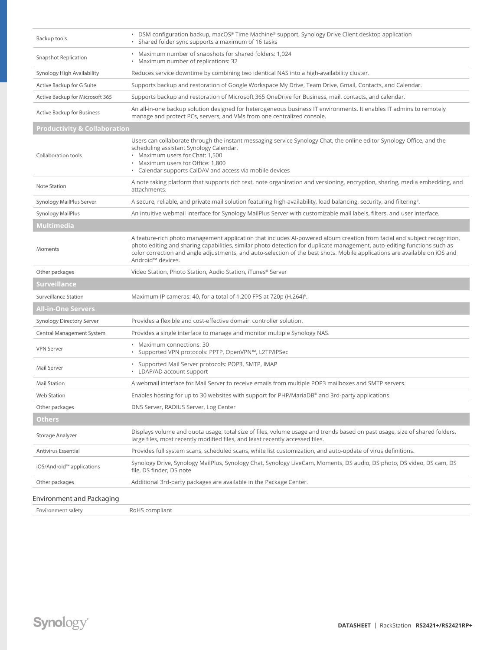| Backup tools                            | • DSM configuration backup, macOS® Time Machine® support, Synology Drive Client desktop application<br>• Shared folder sync supports a maximum of 16 tasks                                                                                                                                                                                                                                                          |
|-----------------------------------------|---------------------------------------------------------------------------------------------------------------------------------------------------------------------------------------------------------------------------------------------------------------------------------------------------------------------------------------------------------------------------------------------------------------------|
| <b>Snapshot Replication</b>             | • Maximum number of snapshots for shared folders: 1,024<br>• Maximum number of replications: 32                                                                                                                                                                                                                                                                                                                     |
| Synology High Availability              | Reduces service downtime by combining two identical NAS into a high-availability cluster.                                                                                                                                                                                                                                                                                                                           |
| Active Backup for G Suite               | Supports backup and restoration of Google Workspace My Drive, Team Drive, Gmail, Contacts, and Calendar.                                                                                                                                                                                                                                                                                                            |
| Active Backup for Microsoft 365         | Supports backup and restoration of Microsoft 365 OneDrive for Business, mail, contacts, and calendar.                                                                                                                                                                                                                                                                                                               |
| <b>Active Backup for Business</b>       | An all-in-one backup solution designed for heterogeneous business IT environments. It enables IT admins to remotely<br>manage and protect PCs, servers, and VMs from one centralized console.                                                                                                                                                                                                                       |
| <b>Productivity &amp; Collaboration</b> |                                                                                                                                                                                                                                                                                                                                                                                                                     |
| Collaboration tools                     | Users can collaborate through the instant messaging service Synology Chat, the online editor Synology Office, and the<br>scheduling assistant Synology Calendar.<br>• Maximum users for Chat: 1,500<br>• Maximum users for Office: 1,800<br>• Calendar supports CalDAV and access via mobile devices                                                                                                                |
| Note Station                            | A note taking platform that supports rich text, note organization and versioning, encryption, sharing, media embedding, and<br>attachments.                                                                                                                                                                                                                                                                         |
| Synology MailPlus Server                | A secure, reliable, and private mail solution featuring high-availability, load balancing, security, and filtering <sup>5</sup> .                                                                                                                                                                                                                                                                                   |
| <b>Synology MailPlus</b>                | An intuitive webmail interface for Synology MailPlus Server with customizable mail labels, filters, and user interface.                                                                                                                                                                                                                                                                                             |
| <b>Multimedia</b>                       |                                                                                                                                                                                                                                                                                                                                                                                                                     |
| Moments                                 | A feature-rich photo management application that includes AI-powered album creation from facial and subject recognition,<br>photo editing and sharing capabilities, similar photo detection for duplicate management, auto-editing functions such as<br>color correction and angle adjustments, and auto-selection of the best shots. Mobile applications are available on iOS and<br>Android <sup>™</sup> devices. |
| Other packages                          | Video Station, Photo Station, Audio Station, iTunes <sup>®</sup> Server                                                                                                                                                                                                                                                                                                                                             |
| <b>Surveillance</b>                     |                                                                                                                                                                                                                                                                                                                                                                                                                     |
| <b>Surveillance Station</b>             | Maximum IP cameras: 40, for a total of 1,200 FPS at 720p (H.264) <sup>6</sup> .                                                                                                                                                                                                                                                                                                                                     |
| All-in-One Servers                      |                                                                                                                                                                                                                                                                                                                                                                                                                     |
| Synology Directory Server               | Provides a flexible and cost-effective domain controller solution.                                                                                                                                                                                                                                                                                                                                                  |
| Central Management System               | Provides a single interface to manage and monitor multiple Synology NAS.                                                                                                                                                                                                                                                                                                                                            |
| <b>VPN Server</b>                       | • Maximum connections: 30<br>. Supported VPN protocols: PPTP, OpenVPN™, L2TP/IPSec                                                                                                                                                                                                                                                                                                                                  |
| Mail Server                             | · Supported Mail Server protocols: POP3, SMTP, IMAP<br>• LDAP/AD account support                                                                                                                                                                                                                                                                                                                                    |
| <b>Mail Station</b>                     | A webmail interface for Mail Server to receive emails from multiple POP3 mailboxes and SMTP servers.                                                                                                                                                                                                                                                                                                                |
| <b>Web Station</b>                      | Enables hosting for up to 30 websites with support for PHP/MariaDB® and 3rd-party applications.                                                                                                                                                                                                                                                                                                                     |
| Other packages                          | DNS Server, RADIUS Server, Log Center                                                                                                                                                                                                                                                                                                                                                                               |
| Others                                  |                                                                                                                                                                                                                                                                                                                                                                                                                     |
| Storage Analyzer                        | Displays volume and quota usage, total size of files, volume usage and trends based on past usage, size of shared folders,<br>large files, most recently modified files, and least recently accessed files.                                                                                                                                                                                                         |
| Antivirus Essential                     | Provides full system scans, scheduled scans, white list customization, and auto-update of virus definitions.                                                                                                                                                                                                                                                                                                        |
| iOS/Android™ applications               | Synology Drive, Synology MailPlus, Synology Chat, Synology LiveCam, Moments, DS audio, DS photo, DS video, DS cam, DS<br>file, DS finder, DS note                                                                                                                                                                                                                                                                   |
| Other packages                          | Additional 3rd-party packages are available in the Package Center.                                                                                                                                                                                                                                                                                                                                                  |
| <b>Environment and Packaging</b>        |                                                                                                                                                                                                                                                                                                                                                                                                                     |
| Environment safety                      | RoHS compliant                                                                                                                                                                                                                                                                                                                                                                                                      |